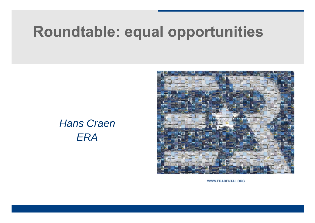# Roundtable: equal opportunities

#### *Hans Craen ERA*



WWW.ERARENTAL.ORG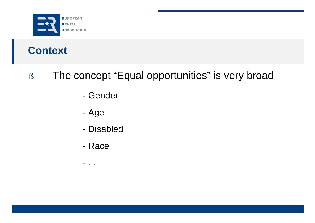

# **Context**

#### § The concept "Equal opportunities" is very broad

- Gender
- Age
- Disabled
- Race
- ...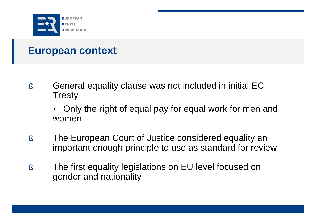

§ General equality clause was not included in initial EC Treaty

Ü Only the right of equal pay for equal work for men and women

- § The European Court of Justice considered equality an important enough principle to use as standard for review
- § The first equality legislations on EU level focused on gender and nationality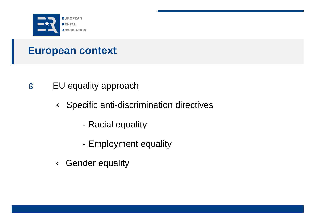

#### § EU equality approach

Ü Specific anti-discrimination directives

- Racial equality
- Employment equality
- Ü Gender equality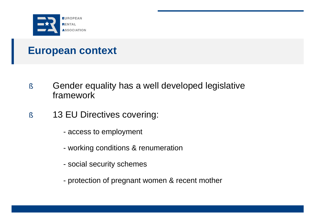

- § Gender equality has a well developed legislative framework
- § 13 EU Directives covering:
	- access to employment
	- working conditions & renumeration
	- social security schemes
	- protection of pregnant women & recent mother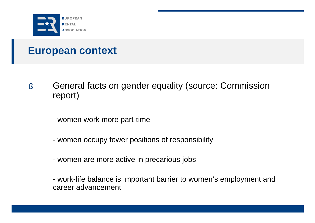

- § General facts on gender equality (source: Commission report)
	- women work more part-time
	- women occupy fewer positions of responsibility
	- women are more active in precarious jobs
	- work-life balance is important barrier to women's employment and career advancement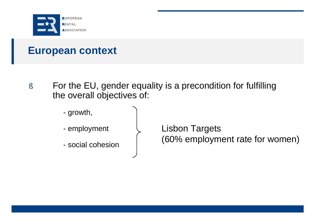

- § For the EU, gender equality is a precondition for fulfilling the overall objectives of:
	- growth,
	- employment
	- social cohesion

Lisbon Targets (60% employment rate for women)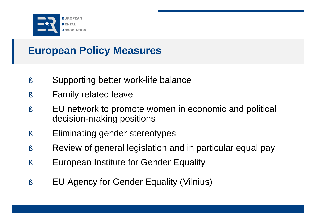

# **European Policy Measures**

- § Supporting better work-life balance
- § Family related leave
- § EU network to promote women in economic and political decision-making positions
- § Eliminating gender stereotypes
- § Review of general legislation and in particular equal pay
- § European Institute for Gender Equality
- § EU Agency for Gender Equality (Vilnius)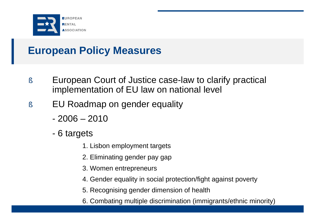

# **European Policy Measures**

- § European Court of Justice case-law to clarify practical implementation of EU law on national level
- § EU Roadmap on gender equality
	- 2006 2010
	- 6 targets
		- 1. Lisbon employment targets
		- 2. Eliminating gender pay gap
		- 3. Women entrepreneurs
		- 4. Gender equality in social protection/fight against poverty
		- 5. Recognising gender dimension of health
		- 6. Combating multiple discrimination (immigrants/ethnic minority)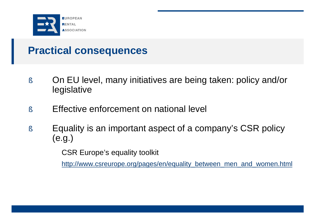

#### **Practical consequences**

- § On EU level, many initiatives are being taken: policy and/or legislative
- § Effective enforcement on national level
- § Equality is an important aspect of a company's CSR policy (e.g.)

CSR Europe's equality toolkit

[http://www.csreurope.org/pages/en/equality\\_between\\_men\\_and\\_women.html](http://www.csreurope.org/pages/en/equality_between_men_and_women.html)